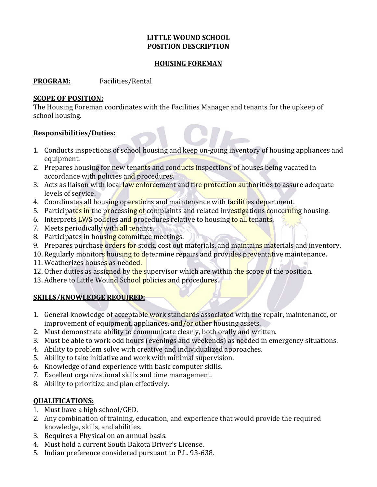# **LITTLE WOUND SCHOOL POSITION DESCRIPTION**

#### **HOUSING FOREMAN**

### **PROGRAM:** Facilities/Rental

### **SCOPE OF POSITION:**

The Housing Foreman coordinates with the Facilities Manager and tenants for the upkeep of school housing.

# **Responsibilities/Duties:**

- 1. Conducts inspections of school housing and keep on-going inventory of housing appliances and equipment.
- 2. Prepares housing for new tenants and conducts inspections of houses being vacated in accordance with policies and procedures.
- 3. Acts as liaison with local law enforcement and fire protection authorities to assure adequate levels of service.
- 4. Coordinates all housing operations and maintenance with facilities department.
- 5. Participates in the processing of complaints and related investigations concerning housing.
- 6. Interprets LWS policies and procedures relative to housing to all tenants.
- 7. Meets periodically with all tenants.
- 8. Participates in housing committee meetings.
- 9. Prepares purchase orders for stock, cost out materials, and maintains materials and inventory.
- 10. Regularly monitors housing to determine repairs and provides preventative maintenance.
- 11. Weatherizes houses as needed.
- 12. Other duties as assigned by the supervisor which are within the scope of the position.
- 13. Adhere to Little Wound School policies and procedures.

# **SKILLS/KNOWLEDGE REQUIRED:**

- 1. General knowledge of acceptable work standards associated with the repair, maintenance, or improvement of equipment, appliances, and/or other housing assets.
- 2. Must demonstrate ability to communicate clearly, both orally and written.
- 3. Must be able to work odd hours (evenings and weekends) as needed in emergency situations.
- 4. Ability to problem solve with creative and individualized approaches.
- 5. Ability to take initiative and work with minimal supervision.
- 6. Knowledge of and experience with basic computer skills.
- 7. Excellent organizational skills and time management.
- 8. Ability to prioritize and plan effectively.

# **QUALIFICATIONS:**

- 1. Must have a high school/GED.
- 2. Any combination of training, education, and experience that would provide the required knowledge, skills, and abilities.
- 3. Requires a Physical on an annual basis.
- 4. Must hold a current South Dakota Driver's License.
- 5. Indian preference considered pursuant to P.L. 93-638.